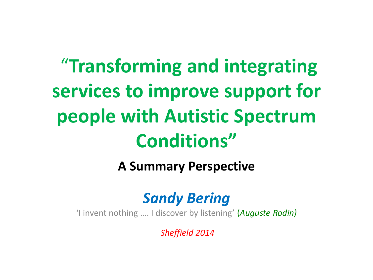# "**Transforming and integrating services to improve support for people with Autistic Spectrum Conditions"**

#### **A Summary Perspective**

#### *Sandy Bering*

'I invent nothing …. I discover by listening' (*Auguste Rodin)*

*Sheffield 2014*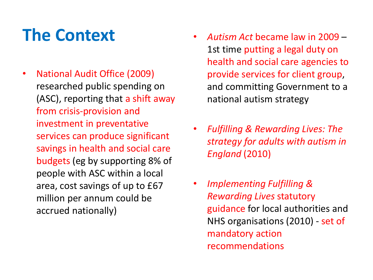### **The Context**

- National Audit Office (2009) researched public spending on (ASC), reporting that a shift away from crisis-provision and investment in preventative services can produce significant savings in health and social care budgets (eg by supporting 8% of people with ASC within a local area, cost savings of up to £67 million per annum could be accrued nationally)
- *Autism Act* became law in 2009 1st time putting a legal duty on health and social care agencies to provide services for client group, and committing Government to a national autism strategy
- *Fulfilling & Rewarding Lives: The strategy for adults with autism in England* (2010)
- *Implementing Fulfilling & Rewarding Lives* statutory guidance for local authorities and NHS organisations (2010) - set of mandatory action recommendations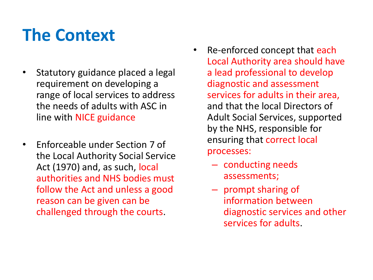### **The Context**

- Statutory guidance placed a legal requirement on developing a range of local services to address the needs of adults with ASC in line with NICE guidance
- Enforceable under Section 7 of the Local Authority Social Service Act (1970) and, as such, local authorities and NHS bodies must follow the Act and unless a good reason can be given can be challenged through the courts.
- Re-enforced concept that each Local Authority area should have a lead professional to develop diagnostic and assessment services for adults in their area, and that the local Directors of Adult Social Services, supported by the NHS, responsible for ensuring that correct local processes:
	- conducting needs assessments;
	- prompt sharing of information between diagnostic services and other services for adults.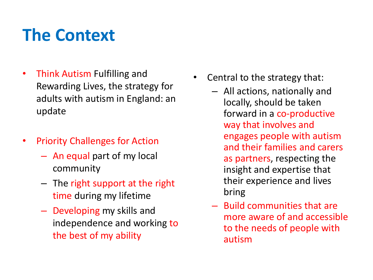### **The Context**

- Think Autism Fulfilling and Rewarding Lives, the strategy for adults with autism in England: an update
- Priority Challenges for Action
	- An equal part of my local community
	- The right support at the right time during my lifetime
	- Developing my skills and independence and working to the best of my ability
- Central to the strategy that:
	- All actions, nationally and locally, should be taken forward in a co-productive way that involves and engages people with autism and their families and carers as partners, respecting the insight and expertise that their experience and lives bring
	- Build communities that are more aware of and accessible to the needs of people with autism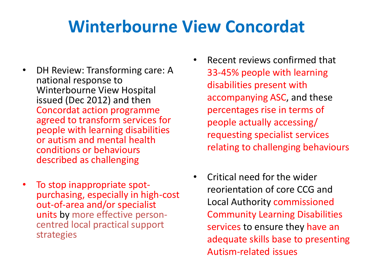### **Winterbourne View Concordat**

- DH Review: Transforming care: A national response to Winterbourne View Hospital issued (Dec 2012) and then Concordat action programme agreed to transform services for people with learning disabilities or autism and mental health conditions or behaviours described as challenging
- To stop inappropriate spotpurchasing, especially in high-cost out-of-area and/or specialist units by more effective personcentred local practical support strategies
- Recent reviews confirmed that 33-45% people with learning disabilities present with accompanying ASC, and these percentages rise in terms of people actually accessing/ requesting specialist services relating to challenging behaviours
- Critical need for the wider reorientation of core CCG and Local Authority commissioned Community Learning Disabilities services to ensure they have an adequate skills base to presenting Autism-related issues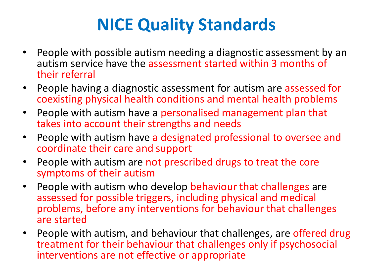### **NICE Quality Standards**

- People with possible autism needing a diagnostic assessment by an autism service have the assessment started within 3 months of their referral
- People having a diagnostic assessment for autism are assessed for coexisting physical health conditions and mental health problems
- People with autism have a personalised management plan that takes into account their strengths and needs
- People with autism have a designated professional to oversee and coordinate their care and support
- People with autism are not prescribed drugs to treat the core symptoms of their autism
- People with autism who develop behaviour that challenges are assessed for possible triggers, including physical and medical problems, before any interventions for behaviour that challenges are started
- People with autism, and behaviour that challenges, are offered drug treatment for their behaviour that challenges only if psychosocial interventions are not effective or appropriate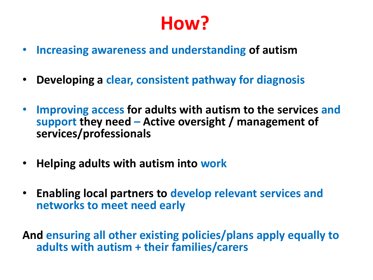## **How?**

- **Increasing awareness and understanding of autism**
- **Developing a clear, consistent pathway for diagnosis**
- **Improving access for adults with autism to the services and support they need – Active oversight / management of services/professionals**
- **Helping adults with autism into work**
- **Enabling local partners to develop relevant services and networks to meet need early**

**And ensuring all other existing policies/plans apply equally to adults with autism + their families/carers**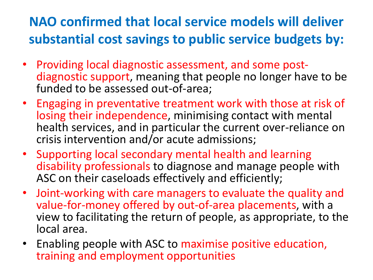#### **NAO confirmed that local service models will deliver substantial cost savings to public service budgets by:**

- Providing local diagnostic assessment, and some postdiagnostic support, meaning that people no longer have to be funded to be assessed out-of-area;
- Engaging in preventative treatment work with those at risk of losing their independence, minimising contact with mental health services, and in particular the current over-reliance on crisis intervention and/or acute admissions;
- Supporting local secondary mental health and learning disability professionals to diagnose and manage people with ASC on their caseloads effectively and efficiently;
- Joint-working with care managers to evaluate the quality and value-for-money offered by out-of-area placements, with a view to facilitating the return of people, as appropriate, to the local area.
- Enabling people with ASC to maximise positive education, training and employment opportunities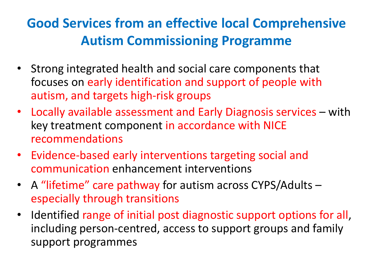#### **Good Services from an effective local Comprehensive Autism Commissioning Programme**

- Strong integrated health and social care components that focuses on early identification and support of people with autism, and targets high-risk groups
- Locally available assessment and Early Diagnosis services with key treatment component in accordance with NICE recommendations
- Evidence-based early interventions targeting social and communication enhancement interventions
- A "lifetime" care pathway for autism across CYPS/Adults especially through transitions
- Identified range of initial post diagnostic support options for all, including person-centred, access to support groups and family support programmes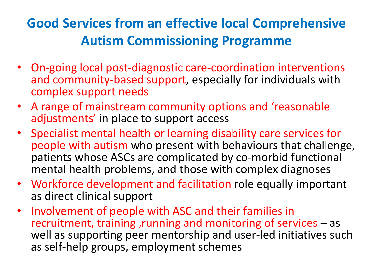#### **Good Services from an effective local Comprehensive Autism Commissioning Programme**

- On-going local post-diagnostic care-coordination interventions and community-based support, especially for individuals with complex support needs
- A range of mainstream community options and 'reasonable adjustments' in place to support access
- Specialist mental health or learning disability care services for people with autism who present with behaviours that challenge, patients whose ASCs are complicated by co-morbid functional mental health problems, and those with complex diagnoses
- Workforce development and facilitation role equally important as direct clinical support
- Involvement of people with ASC and their families in recruitment, training ,running and monitoring of services – as well as supporting peer mentorship and user-led initiatives such as self-help groups, employment schemes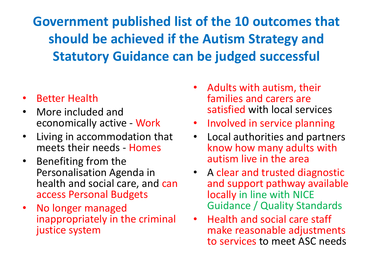**Government published list of the 10 outcomes that should be achieved if the Autism Strategy and Statutory Guidance can be judged successful**

#### • Better Health

- More included and economically active - Work
- Living in accommodation that meets their needs - Homes
- Benefiting from the Personalisation Agenda in health and social care, and can access Personal Budgets
- No longer managed inappropriately in the criminal justice system
- Adults with autism, their families and carers are satisfied with local services
- Involved in service planning
- Local authorities and partners know how many adults with autism live in the area
- A clear and trusted diagnostic and support pathway available locally in line with NICE Guidance / Quality Standards
- Health and social care staff make reasonable adjustments to services to meet ASC needs